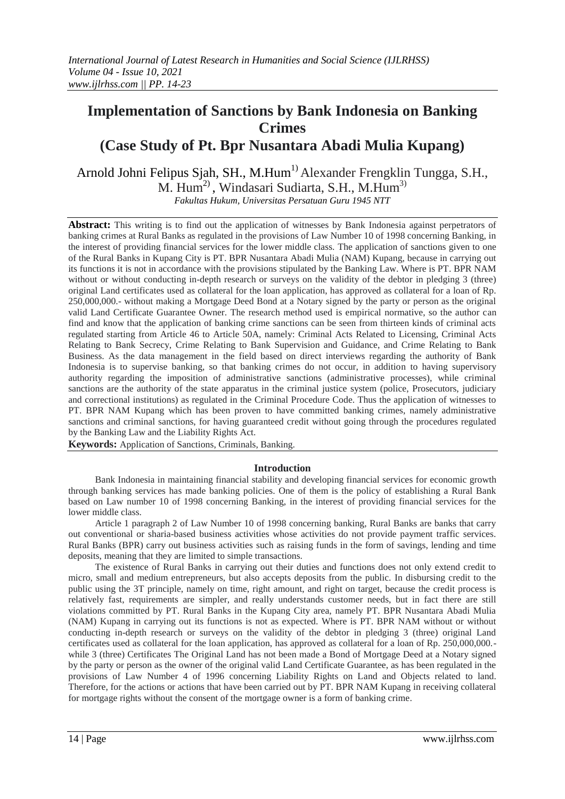# **Implementation of Sanctions by Bank Indonesia on Banking Crimes (Case Study of Pt. Bpr Nusantara Abadi Mulia Kupang)**

Arnold Johni Felipus Sjah, SH., M.Hum<sup>1)</sup> Alexander Frengklin Tungga, S.H., M. Hum<sup>2)</sup>, Windasari Sudiarta, S.H., M.Hum<sup>3)</sup>

*Fakultas Hukum, Universitas Persatuan Guru 1945 NTT*

**Abstract:** This writing is to find out the application of witnesses by Bank Indonesia against perpetrators of banking crimes at Rural Banks as regulated in the provisions of Law Number 10 of 1998 concerning Banking, in the interest of providing financial services for the lower middle class. The application of sanctions given to one of the Rural Banks in Kupang City is PT. BPR Nusantara Abadi Mulia (NAM) Kupang, because in carrying out its functions it is not in accordance with the provisions stipulated by the Banking Law. Where is PT. BPR NAM without or without conducting in-depth research or surveys on the validity of the debtor in pledging 3 (three) original Land certificates used as collateral for the loan application, has approved as collateral for a loan of Rp. 250,000,000.- without making a Mortgage Deed Bond at a Notary signed by the party or person as the original valid Land Certificate Guarantee Owner. The research method used is empirical normative, so the author can find and know that the application of banking crime sanctions can be seen from thirteen kinds of criminal acts regulated starting from Article 46 to Article 50A, namely: Criminal Acts Related to Licensing, Criminal Acts Relating to Bank Secrecy, Crime Relating to Bank Supervision and Guidance, and Crime Relating to Bank Business. As the data management in the field based on direct interviews regarding the authority of Bank Indonesia is to supervise banking, so that banking crimes do not occur, in addition to having supervisory authority regarding the imposition of administrative sanctions (administrative processes), while criminal sanctions are the authority of the state apparatus in the criminal justice system (police, Prosecutors, judiciary and correctional institutions) as regulated in the Criminal Procedure Code. Thus the application of witnesses to PT. BPR NAM Kupang which has been proven to have committed banking crimes, namely administrative sanctions and criminal sanctions, for having guaranteed credit without going through the procedures regulated by the Banking Law and the Liability Rights Act.

**Keywords:** Application of Sanctions, Criminals, Banking.

# **Introduction**

Bank Indonesia in maintaining financial stability and developing financial services for economic growth through banking services has made banking policies. One of them is the policy of establishing a Rural Bank based on Law number 10 of 1998 concerning Banking, in the interest of providing financial services for the lower middle class.

Article 1 paragraph 2 of Law Number 10 of 1998 concerning banking, Rural Banks are banks that carry out conventional or sharia-based business activities whose activities do not provide payment traffic services. Rural Banks (BPR) carry out business activities such as raising funds in the form of savings, lending and time deposits, meaning that they are limited to simple transactions.

The existence of Rural Banks in carrying out their duties and functions does not only extend credit to micro, small and medium entrepreneurs, but also accepts deposits from the public. In disbursing credit to the public using the 3T principle, namely on time, right amount, and right on target, because the credit process is relatively fast, requirements are simpler, and really understands customer needs, but in fact there are still violations committed by PT. Rural Banks in the Kupang City area, namely PT. BPR Nusantara Abadi Mulia (NAM) Kupang in carrying out its functions is not as expected. Where is PT. BPR NAM without or without conducting in-depth research or surveys on the validity of the debtor in pledging 3 (three) original Land certificates used as collateral for the loan application, has approved as collateral for a loan of Rp. 250,000,000. while 3 (three) Certificates The Original Land has not been made a Bond of Mortgage Deed at a Notary signed by the party or person as the owner of the original valid Land Certificate Guarantee, as has been regulated in the provisions of Law Number 4 of 1996 concerning Liability Rights on Land and Objects related to land. Therefore, for the actions or actions that have been carried out by PT. BPR NAM Kupang in receiving collateral for mortgage rights without the consent of the mortgage owner is a form of banking crime.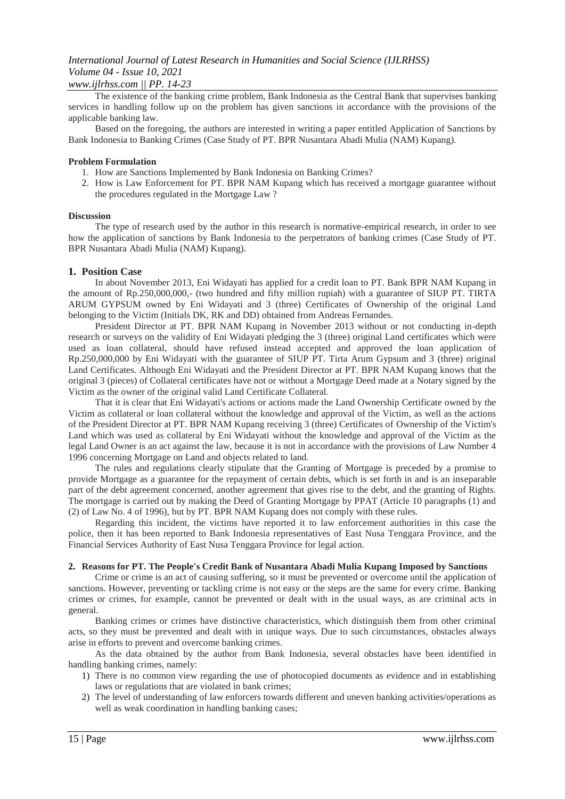### *www.ijlrhss.com || PP. 14-23*

The existence of the banking crime problem, Bank Indonesia as the Central Bank that supervises banking services in handling follow up on the problem has given sanctions in accordance with the provisions of the applicable banking law.

Based on the foregoing, the authors are interested in writing a paper entitled Application of Sanctions by Bank Indonesia to Banking Crimes (Case Study of PT. BPR Nusantara Abadi Mulia (NAM) Kupang).

### **Problem Formulation**

- 1. How are Sanctions Implemented by Bank Indonesia on Banking Crimes?
- 2. How is Law Enforcement for PT. BPR NAM Kupang which has received a mortgage guarantee without the procedures regulated in the Mortgage Law ?

#### **Discussion**

The type of research used by the author in this research is normative-empirical research, in order to see how the application of sanctions by Bank Indonesia to the perpetrators of banking crimes (Case Study of PT. BPR Nusantara Abadi Mulia (NAM) Kupang).

### **1. Position Case**

In about November 2013, Eni Widayati has applied for a credit loan to PT. Bank BPR NAM Kupang in the amount of Rp.250,000,000,- (two hundred and fifty million rupiah) with a guarantee of SIUP PT. TIRTA ARUM GYPSUM owned by Eni Widayati and 3 (three) Certificates of Ownership of the original Land belonging to the Victim (Initials DK, RK and DD) obtained from Andreas Fernandes.

President Director at PT. BPR NAM Kupang in November 2013 without or not conducting in-depth research or surveys on the validity of Eni Widayati pledging the 3 (three) original Land certificates which were used as loan collateral, should have refused instead accepted and approved the loan application of Rp.250,000,000 by Eni Widayati with the guarantee of SIUP PT. Tirta Arum Gypsum and 3 (three) original Land Certificates. Although Eni Widayati and the President Director at PT. BPR NAM Kupang knows that the original 3 (pieces) of Collateral certificates have not or without a Mortgage Deed made at a Notary signed by the Victim as the owner of the original valid Land Certificate Collateral.

That it is clear that Eni Widayati's actions or actions made the Land Ownership Certificate owned by the Victim as collateral or loan collateral without the knowledge and approval of the Victim, as well as the actions of the President Director at PT. BPR NAM Kupang receiving 3 (three) Certificates of Ownership of the Victim's Land which was used as collateral by Eni Widayati without the knowledge and approval of the Victim as the legal Land Owner is an act against the law, because it is not in accordance with the provisions of Law Number 4 1996 concerning Mortgage on Land and objects related to land.

The rules and regulations clearly stipulate that the Granting of Mortgage is preceded by a promise to provide Mortgage as a guarantee for the repayment of certain debts, which is set forth in and is an inseparable part of the debt agreement concerned, another agreement that gives rise to the debt, and the granting of Rights. The mortgage is carried out by making the Deed of Granting Mortgage by PPAT (Article 10 paragraphs (1) and (2) of Law No. 4 of 1996), but by PT. BPR NAM Kupang does not comply with these rules.

Regarding this incident, the victims have reported it to law enforcement authorities in this case the police, then it has been reported to Bank Indonesia representatives of East Nusa Tenggara Province, and the Financial Services Authority of East Nusa Tenggara Province for legal action.

### **2. Reasons for PT. The People's Credit Bank of Nusantara Abadi Mulia Kupang Imposed by Sanctions**

Crime or crime is an act of causing suffering, so it must be prevented or overcome until the application of sanctions. However, preventing or tackling crime is not easy or the steps are the same for every crime. Banking crimes or crimes, for example, cannot be prevented or dealt with in the usual ways, as are criminal acts in general.

Banking crimes or crimes have distinctive characteristics, which distinguish them from other criminal acts, so they must be prevented and dealt with in unique ways. Due to such circumstances, obstacles always arise in efforts to prevent and overcome banking crimes.

As the data obtained by the author from Bank Indonesia, several obstacles have been identified in handling banking crimes, namely:

- 1) There is no common view regarding the use of photocopied documents as evidence and in establishing laws or regulations that are violated in bank crimes;
- 2) The level of understanding of law enforcers towards different and uneven banking activities/operations as well as weak coordination in handling banking cases;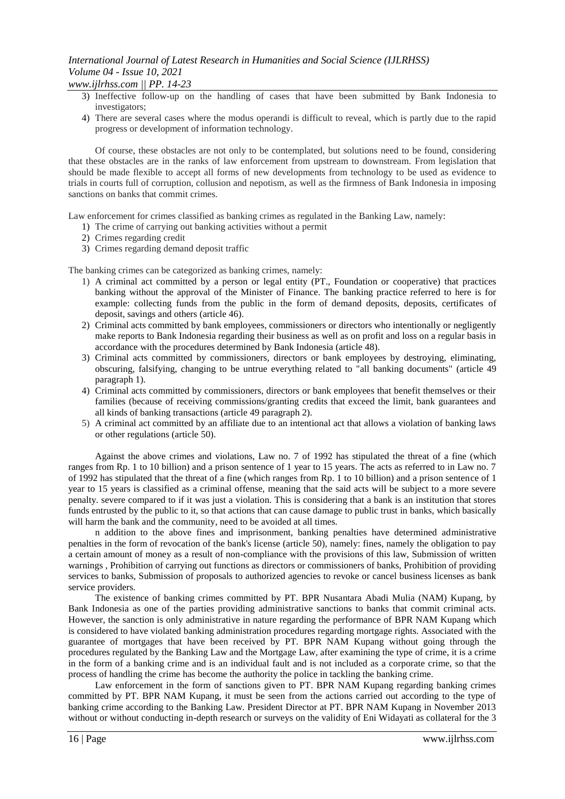*www.ijlrhss.com || PP. 14-23*

- 3) Ineffective follow-up on the handling of cases that have been submitted by Bank Indonesia to investigators;
- 4) There are several cases where the modus operandi is difficult to reveal, which is partly due to the rapid progress or development of information technology.

Of course, these obstacles are not only to be contemplated, but solutions need to be found, considering that these obstacles are in the ranks of law enforcement from upstream to downstream. From legislation that should be made flexible to accept all forms of new developments from technology to be used as evidence to trials in courts full of corruption, collusion and nepotism, as well as the firmness of Bank Indonesia in imposing sanctions on banks that commit crimes.

Law enforcement for crimes classified as banking crimes as regulated in the Banking Law, namely:

- 1) The crime of carrying out banking activities without a permit
- 2) Crimes regarding credit
- 3) Crimes regarding demand deposit traffic

The banking crimes can be categorized as banking crimes, namely:

- 1) A criminal act committed by a person or legal entity (PT., Foundation or cooperative) that practices banking without the approval of the Minister of Finance. The banking practice referred to here is for example: collecting funds from the public in the form of demand deposits, deposits, certificates of deposit, savings and others (article 46).
- 2) Criminal acts committed by bank employees, commissioners or directors who intentionally or negligently make reports to Bank Indonesia regarding their business as well as on profit and loss on a regular basis in accordance with the procedures determined by Bank Indonesia (article 48).
- 3) Criminal acts committed by commissioners, directors or bank employees by destroying, eliminating, obscuring, falsifying, changing to be untrue everything related to "all banking documents" (article 49 paragraph 1).
- 4) Criminal acts committed by commissioners, directors or bank employees that benefit themselves or their families (because of receiving commissions/granting credits that exceed the limit, bank guarantees and all kinds of banking transactions (article 49 paragraph 2).
- 5) A criminal act committed by an affiliate due to an intentional act that allows a violation of banking laws or other regulations (article 50).

Against the above crimes and violations, Law no. 7 of 1992 has stipulated the threat of a fine (which ranges from Rp. 1 to 10 billion) and a prison sentence of 1 year to 15 years. The acts as referred to in Law no. 7 of 1992 has stipulated that the threat of a fine (which ranges from Rp. 1 to 10 billion) and a prison sentence of 1 year to 15 years is classified as a criminal offense, meaning that the said acts will be subject to a more severe penalty. severe compared to if it was just a violation. This is considering that a bank is an institution that stores funds entrusted by the public to it, so that actions that can cause damage to public trust in banks, which basically will harm the bank and the community, need to be avoided at all times.

n addition to the above fines and imprisonment, banking penalties have determined administrative penalties in the form of revocation of the bank's license (article 50), namely: fines, namely the obligation to pay a certain amount of money as a result of non-compliance with the provisions of this law, Submission of written warnings , Prohibition of carrying out functions as directors or commissioners of banks, Prohibition of providing services to banks, Submission of proposals to authorized agencies to revoke or cancel business licenses as bank service providers.

The existence of banking crimes committed by PT. BPR Nusantara Abadi Mulia (NAM) Kupang, by Bank Indonesia as one of the parties providing administrative sanctions to banks that commit criminal acts. However, the sanction is only administrative in nature regarding the performance of BPR NAM Kupang which is considered to have violated banking administration procedures regarding mortgage rights. Associated with the guarantee of mortgages that have been received by PT. BPR NAM Kupang without going through the procedures regulated by the Banking Law and the Mortgage Law, after examining the type of crime, it is a crime in the form of a banking crime and is an individual fault and is not included as a corporate crime, so that the process of handling the crime has become the authority the police in tackling the banking crime.

Law enforcement in the form of sanctions given to PT. BPR NAM Kupang regarding banking crimes committed by PT. BPR NAM Kupang, it must be seen from the actions carried out according to the type of banking crime according to the Banking Law. President Director at PT. BPR NAM Kupang in November 2013 without or without conducting in-depth research or surveys on the validity of Eni Widayati as collateral for the 3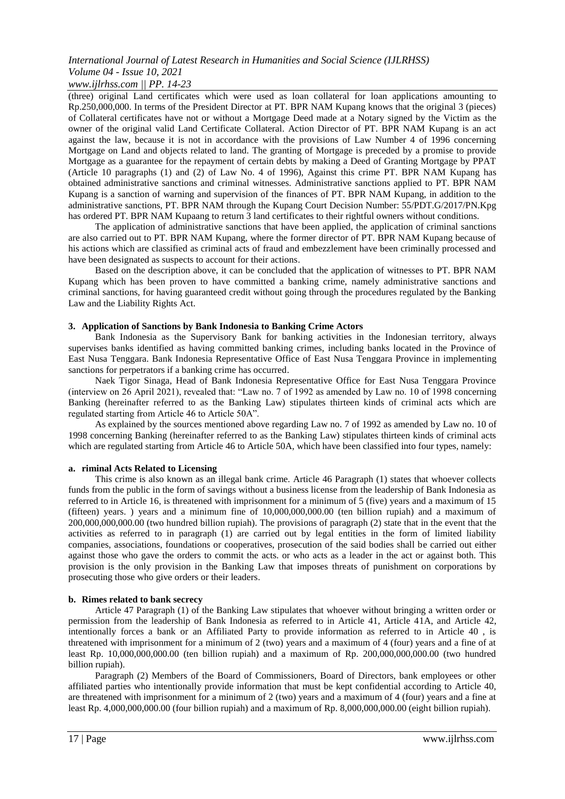### *www.ijlrhss.com || PP. 14-23*

(three) original Land certificates which were used as loan collateral for loan applications amounting to Rp.250,000,000. In terms of the President Director at PT. BPR NAM Kupang knows that the original 3 (pieces) of Collateral certificates have not or without a Mortgage Deed made at a Notary signed by the Victim as the owner of the original valid Land Certificate Collateral. Action Director of PT. BPR NAM Kupang is an act against the law, because it is not in accordance with the provisions of Law Number 4 of 1996 concerning Mortgage on Land and objects related to land. The granting of Mortgage is preceded by a promise to provide Mortgage as a guarantee for the repayment of certain debts by making a Deed of Granting Mortgage by PPAT (Article 10 paragraphs (1) and (2) of Law No. 4 of 1996), Against this crime PT. BPR NAM Kupang has obtained administrative sanctions and criminal witnesses. Administrative sanctions applied to PT. BPR NAM Kupang is a sanction of warning and supervision of the finances of PT. BPR NAM Kupang, in addition to the administrative sanctions, PT. BPR NAM through the Kupang Court Decision Number: 55/PDT.G/2017/PN.Kpg has ordered PT. BPR NAM Kupaang to return 3 land certificates to their rightful owners without conditions.

The application of administrative sanctions that have been applied, the application of criminal sanctions are also carried out to PT. BPR NAM Kupang, where the former director of PT. BPR NAM Kupang because of his actions which are classified as criminal acts of fraud and embezzlement have been criminally processed and have been designated as suspects to account for their actions.

Based on the description above, it can be concluded that the application of witnesses to PT. BPR NAM Kupang which has been proven to have committed a banking crime, namely administrative sanctions and criminal sanctions, for having guaranteed credit without going through the procedures regulated by the Banking Law and the Liability Rights Act.

### **3. Application of Sanctions by Bank Indonesia to Banking Crime Actors**

Bank Indonesia as the Supervisory Bank for banking activities in the Indonesian territory, always supervises banks identified as having committed banking crimes, including banks located in the Province of East Nusa Tenggara. Bank Indonesia Representative Office of East Nusa Tenggara Province in implementing sanctions for perpetrators if a banking crime has occurred.

Naek Tigor Sinaga, Head of Bank Indonesia Representative Office for East Nusa Tenggara Province (interview on 26 April 2021), revealed that: "Law no. 7 of 1992 as amended by Law no. 10 of 1998 concerning Banking (hereinafter referred to as the Banking Law) stipulates thirteen kinds of criminal acts which are regulated starting from Article 46 to Article 50A".

As explained by the sources mentioned above regarding Law no. 7 of 1992 as amended by Law no. 10 of 1998 concerning Banking (hereinafter referred to as the Banking Law) stipulates thirteen kinds of criminal acts which are regulated starting from Article 46 to Article 50A, which have been classified into four types, namely:

### **a. riminal Acts Related to Licensing**

This crime is also known as an illegal bank crime. Article 46 Paragraph (1) states that whoever collects funds from the public in the form of savings without a business license from the leadership of Bank Indonesia as referred to in Article 16, is threatened with imprisonment for a minimum of 5 (five) years and a maximum of 15 (fifteen) years. ) years and a minimum fine of 10,000,000,000.00 (ten billion rupiah) and a maximum of 200,000,000,000.00 (two hundred billion rupiah). The provisions of paragraph (2) state that in the event that the activities as referred to in paragraph (1) are carried out by legal entities in the form of limited liability companies, associations, foundations or cooperatives, prosecution of the said bodies shall be carried out either against those who gave the orders to commit the acts. or who acts as a leader in the act or against both. This provision is the only provision in the Banking Law that imposes threats of punishment on corporations by prosecuting those who give orders or their leaders.

### **b. Rimes related to bank secrecy**

Article 47 Paragraph (1) of the Banking Law stipulates that whoever without bringing a written order or permission from the leadership of Bank Indonesia as referred to in Article 41, Article 41A, and Article 42, intentionally forces a bank or an Affiliated Party to provide information as referred to in Article 40 , is threatened with imprisonment for a minimum of 2 (two) years and a maximum of 4 (four) years and a fine of at least Rp. 10,000,000,000.00 (ten billion rupiah) and a maximum of Rp. 200,000,000,000.00 (two hundred billion rupiah).

Paragraph (2) Members of the Board of Commissioners, Board of Directors, bank employees or other affiliated parties who intentionally provide information that must be kept confidential according to Article 40, are threatened with imprisonment for a minimum of 2 (two) years and a maximum of 4 (four) years and a fine at least Rp. 4,000,000,000.00 (four billion rupiah) and a maximum of Rp. 8,000,000,000.00 (eight billion rupiah).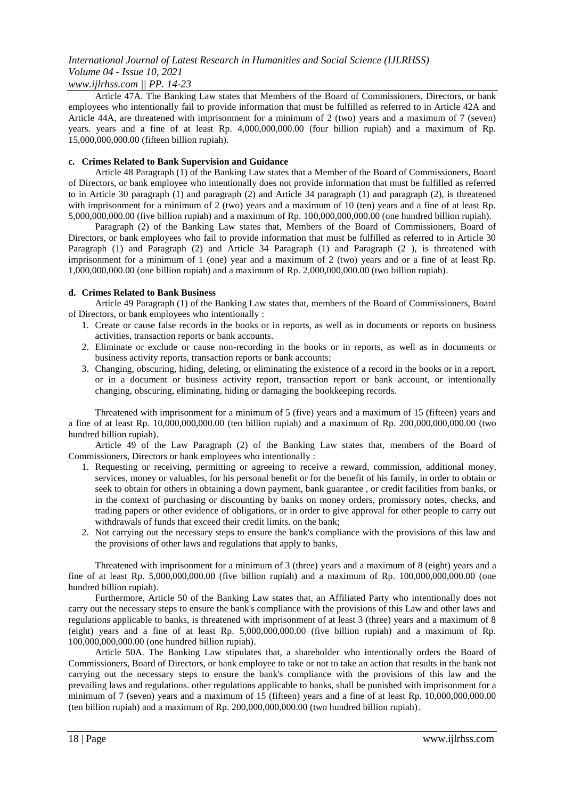### *www.ijlrhss.com || PP. 14-23*

Article 47A. The Banking Law states that Members of the Board of Commissioners, Directors, or bank employees who intentionally fail to provide information that must be fulfilled as referred to in Article 42A and Article 44A, are threatened with imprisonment for a minimum of 2 (two) years and a maximum of 7 (seven) years. years and a fine of at least Rp. 4,000,000,000.00 (four billion rupiah) and a maximum of Rp. 15,000,000,000.00 (fifteen billion rupiah).

### **c. Crimes Related to Bank Supervision and Guidance**

Article 48 Paragraph (1) of the Banking Law states that a Member of the Board of Commissioners, Board of Directors, or bank employee who intentionally does not provide information that must be fulfilled as referred to in Article 30 paragraph (1) and paragraph (2) and Article 34 paragraph (1) and paragraph (2), is threatened with imprisonment for a minimum of 2 (two) years and a maximum of 10 (ten) years and a fine of at least Rp. 5,000,000,000.00 (five billion rupiah) and a maximum of Rp. 100,000,000,000.00 (one hundred billion rupiah).

Paragraph (2) of the Banking Law states that, Members of the Board of Commissioners, Board of Directors, or bank employees who fail to provide information that must be fulfilled as referred to in Article 30 Paragraph (1) and Paragraph (2) and Article 34 Paragraph (1) and Paragraph (2), is threatened with imprisonment for a minimum of 1 (one) year and a maximum of 2 (two) years and or a fine of at least Rp. 1,000,000,000.00 (one billion rupiah) and a maximum of Rp. 2,000,000,000.00 (two billion rupiah).

#### **d. Crimes Related to Bank Business**

Article 49 Paragraph (1) of the Banking Law states that, members of the Board of Commissioners, Board of Directors, or bank employees who intentionally :

- 1. Create or cause false records in the books or in reports, as well as in documents or reports on business activities, transaction reports or bank accounts.
- 2. Eliminate or exclude or cause non-recording in the books or in reports, as well as in documents or business activity reports, transaction reports or bank accounts;
- 3. Changing, obscuring, hiding, deleting, or eliminating the existence of a record in the books or in a report, or in a document or business activity report, transaction report or bank account, or intentionally changing, obscuring, eliminating, hiding or damaging the bookkeeping records.

Threatened with imprisonment for a minimum of 5 (five) years and a maximum of 15 (fifteen) years and a fine of at least Rp. 10,000,000,000.00 (ten billion rupiah) and a maximum of Rp. 200,000,000,000.00 (two hundred billion rupiah).

Article 49 of the Law Paragraph (2) of the Banking Law states that, members of the Board of Commissioners, Directors or bank employees who intentionally :

- 1. Requesting or receiving, permitting or agreeing to receive a reward, commission, additional money, services, money or valuables, for his personal benefit or for the benefit of his family, in order to obtain or seek to obtain for others in obtaining a down payment, bank guarantee , or credit facilities from banks, or in the context of purchasing or discounting by banks on money orders, promissory notes, checks, and trading papers or other evidence of obligations, or in order to give approval for other people to carry out withdrawals of funds that exceed their credit limits. on the bank;
- 2. Not carrying out the necessary steps to ensure the bank's compliance with the provisions of this law and the provisions of other laws and regulations that apply to banks,

Threatened with imprisonment for a minimum of 3 (three) years and a maximum of 8 (eight) years and a fine of at least Rp. 5,000,000,000.00 (five billion rupiah) and a maximum of Rp. 100,000,000,000.00 (one hundred billion rupiah).

Furthermore, Article 50 of the Banking Law states that, an Affiliated Party who intentionally does not carry out the necessary steps to ensure the bank's compliance with the provisions of this Law and other laws and regulations applicable to banks, is threatened with imprisonment of at least 3 (three) years and a maximum of 8 (eight) years and a fine of at least Rp. 5,000,000,000.00 (five billion rupiah) and a maximum of Rp. 100,000,000,000.00 (one hundred billion rupiah).

Article 50A. The Banking Law stipulates that, a shareholder who intentionally orders the Board of Commissioners, Board of Directors, or bank employee to take or not to take an action that results in the bank not carrying out the necessary steps to ensure the bank's compliance with the provisions of this law and the prevailing laws and regulations. other regulations applicable to banks, shall be punished with imprisonment for a minimum of 7 (seven) years and a maximum of 15 (fifteen) years and a fine of at least Rp. 10,000,000,000.00 (ten billion rupiah) and a maximum of Rp. 200,000,000,000.00 (two hundred billion rupiah).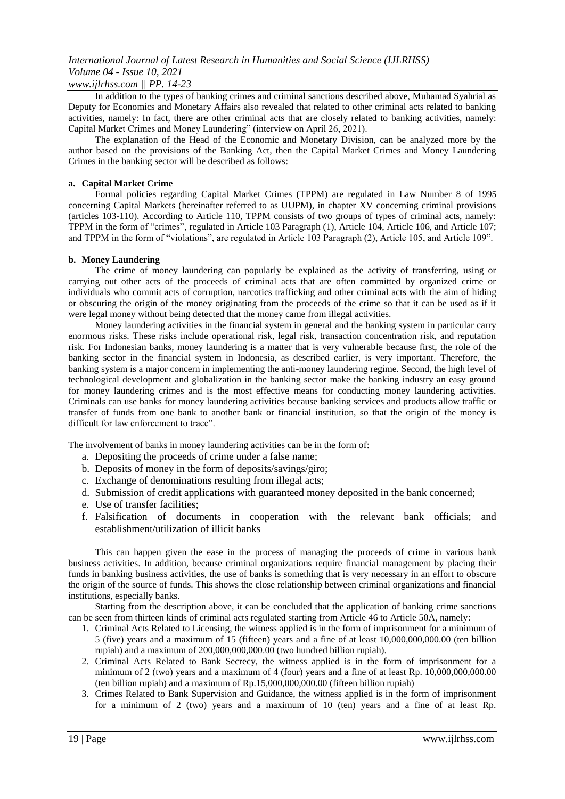### *www.ijlrhss.com || PP. 14-23*

In addition to the types of banking crimes and criminal sanctions described above, Muhamad Syahrial as Deputy for Economics and Monetary Affairs also revealed that related to other criminal acts related to banking activities, namely: In fact, there are other criminal acts that are closely related to banking activities, namely: Capital Market Crimes and Money Laundering" (interview on April 26, 2021).

The explanation of the Head of the Economic and Monetary Division, can be analyzed more by the author based on the provisions of the Banking Act, then the Capital Market Crimes and Money Laundering Crimes in the banking sector will be described as follows:

### **a. Capital Market Crime**

Formal policies regarding Capital Market Crimes (TPPM) are regulated in Law Number 8 of 1995 concerning Capital Markets (hereinafter referred to as UUPM), in chapter XV concerning criminal provisions (articles 103-110). According to Article 110, TPPM consists of two groups of types of criminal acts, namely: TPPM in the form of "crimes", regulated in Article 103 Paragraph (1), Article 104, Article 106, and Article 107; and TPPM in the form of "violations", are regulated in Article 103 Paragraph (2), Article 105, and Article 109".

### **b. Money Laundering**

The crime of money laundering can popularly be explained as the activity of transferring, using or carrying out other acts of the proceeds of criminal acts that are often committed by organized crime or individuals who commit acts of corruption, narcotics trafficking and other criminal acts with the aim of hiding or obscuring the origin of the money originating from the proceeds of the crime so that it can be used as if it were legal money without being detected that the money came from illegal activities.

Money laundering activities in the financial system in general and the banking system in particular carry enormous risks. These risks include operational risk, legal risk, transaction concentration risk, and reputation risk. For Indonesian banks, money laundering is a matter that is very vulnerable because first, the role of the banking sector in the financial system in Indonesia, as described earlier, is very important. Therefore, the banking system is a major concern in implementing the anti-money laundering regime. Second, the high level of technological development and globalization in the banking sector make the banking industry an easy ground for money laundering crimes and is the most effective means for conducting money laundering activities. Criminals can use banks for money laundering activities because banking services and products allow traffic or transfer of funds from one bank to another bank or financial institution, so that the origin of the money is difficult for law enforcement to trace".

The involvement of banks in money laundering activities can be in the form of:

- a. Depositing the proceeds of crime under a false name;
- b. Deposits of money in the form of deposits/savings/giro;
- c. Exchange of denominations resulting from illegal acts;
- d. Submission of credit applications with guaranteed money deposited in the bank concerned;
- e. Use of transfer facilities;
- f. Falsification of documents in cooperation with the relevant bank officials; and establishment/utilization of illicit banks

This can happen given the ease in the process of managing the proceeds of crime in various bank business activities. In addition, because criminal organizations require financial management by placing their funds in banking business activities, the use of banks is something that is very necessary in an effort to obscure the origin of the source of funds. This shows the close relationship between criminal organizations and financial institutions, especially banks.

Starting from the description above, it can be concluded that the application of banking crime sanctions can be seen from thirteen kinds of criminal acts regulated starting from Article 46 to Article 50A, namely:

- 1. Criminal Acts Related to Licensing, the witness applied is in the form of imprisonment for a minimum of 5 (five) years and a maximum of 15 (fifteen) years and a fine of at least 10,000,000,000.00 (ten billion rupiah) and a maximum of 200,000,000,000.00 (two hundred billion rupiah).
- 2. Criminal Acts Related to Bank Secrecy, the witness applied is in the form of imprisonment for a minimum of 2 (two) years and a maximum of 4 (four) years and a fine of at least Rp. 10,000,000,000.00 (ten billion rupiah) and a maximum of Rp.15,000,000,000.00 (fifteen billion rupiah)
- 3. Crimes Related to Bank Supervision and Guidance, the witness applied is in the form of imprisonment for a minimum of 2 (two) years and a maximum of 10 (ten) years and a fine of at least Rp.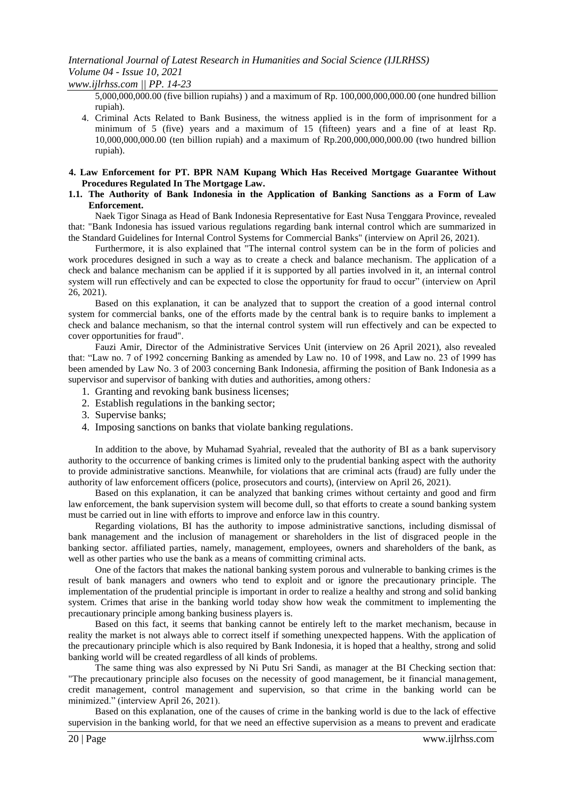*www.ijlrhss.com || PP. 14-23*

5,000,000,000.00 (five billion rupiahs) ) and a maximum of Rp. 100,000,000,000.00 (one hundred billion rupiah).

4. Criminal Acts Related to Bank Business, the witness applied is in the form of imprisonment for a minimum of 5 (five) years and a maximum of 15 (fifteen) years and a fine of at least Rp. 10,000,000,000.00 (ten billion rupiah) and a maximum of Rp.200,000,000,000.00 (two hundred billion rupiah).

#### **4. Law Enforcement for PT. BPR NAM Kupang Which Has Received Mortgage Guarantee Without Procedures Regulated In The Mortgage Law.**

#### **1.1. The Authority of Bank Indonesia in the Application of Banking Sanctions as a Form of Law Enforcement.**

Naek Tigor Sinaga as Head of Bank Indonesia Representative for East Nusa Tenggara Province, revealed that: "Bank Indonesia has issued various regulations regarding bank internal control which are summarized in the Standard Guidelines for Internal Control Systems for Commercial Banks" (interview on April 26, 2021).

Furthermore, it is also explained that "The internal control system can be in the form of policies and work procedures designed in such a way as to create a check and balance mechanism. The application of a check and balance mechanism can be applied if it is supported by all parties involved in it, an internal control system will run effectively and can be expected to close the opportunity for fraud to occur" (interview on April 26, 2021).

Based on this explanation, it can be analyzed that to support the creation of a good internal control system for commercial banks, one of the efforts made by the central bank is to require banks to implement a check and balance mechanism, so that the internal control system will run effectively and can be expected to cover opportunities for fraud".

Fauzi Amir, Director of the Administrative Services Unit (interview on 26 April 2021), also revealed that: "Law no. 7 of 1992 concerning Banking as amended by Law no. 10 of 1998, and Law no. 23 of 1999 has been amended by Law No. 3 of 2003 concerning Bank Indonesia, affirming the position of Bank Indonesia as a supervisor and supervisor of banking with duties and authorities, among others*:*

- 1. Granting and revoking bank business licenses;
- 2. Establish regulations in the banking sector;
- 3. Supervise banks;
- 4. Imposing sanctions on banks that violate banking regulations.

In addition to the above, by Muhamad Syahrial, revealed that the authority of BI as a bank supervisory authority to the occurrence of banking crimes is limited only to the prudential banking aspect with the authority to provide administrative sanctions. Meanwhile, for violations that are criminal acts (fraud) are fully under the authority of law enforcement officers (police, prosecutors and courts), (interview on April 26, 2021).

Based on this explanation, it can be analyzed that banking crimes without certainty and good and firm law enforcement, the bank supervision system will become dull, so that efforts to create a sound banking system must be carried out in line with efforts to improve and enforce law in this country.

Regarding violations, BI has the authority to impose administrative sanctions, including dismissal of bank management and the inclusion of management or shareholders in the list of disgraced people in the banking sector. affiliated parties, namely, management, employees, owners and shareholders of the bank, as well as other parties who use the bank as a means of committing criminal acts.

One of the factors that makes the national banking system porous and vulnerable to banking crimes is the result of bank managers and owners who tend to exploit and or ignore the precautionary principle. The implementation of the prudential principle is important in order to realize a healthy and strong and solid banking system. Crimes that arise in the banking world today show how weak the commitment to implementing the precautionary principle among banking business players is.

Based on this fact, it seems that banking cannot be entirely left to the market mechanism, because in reality the market is not always able to correct itself if something unexpected happens. With the application of the precautionary principle which is also required by Bank Indonesia, it is hoped that a healthy, strong and solid banking world will be created regardless of all kinds of problems.

The same thing was also expressed by Ni Putu Sri Sandi, as manager at the BI Checking section that: "The precautionary principle also focuses on the necessity of good management, be it financial management, credit management, control management and supervision, so that crime in the banking world can be minimized." (interview April 26, 2021).

Based on this explanation, one of the causes of crime in the banking world is due to the lack of effective supervision in the banking world, for that we need an effective supervision as a means to prevent and eradicate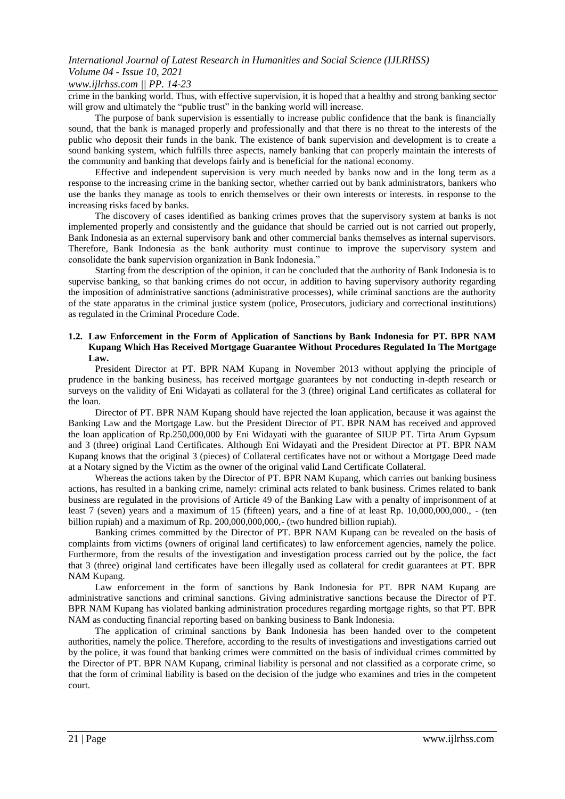## *www.ijlrhss.com || PP. 14-23*

crime in the banking world. Thus, with effective supervision, it is hoped that a healthy and strong banking sector will grow and ultimately the "public trust" in the banking world will increase.

The purpose of bank supervision is essentially to increase public confidence that the bank is financially sound, that the bank is managed properly and professionally and that there is no threat to the interests of the public who deposit their funds in the bank. The existence of bank supervision and development is to create a sound banking system, which fulfills three aspects, namely banking that can properly maintain the interests of the community and banking that develops fairly and is beneficial for the national economy.

Effective and independent supervision is very much needed by banks now and in the long term as a response to the increasing crime in the banking sector, whether carried out by bank administrators, bankers who use the banks they manage as tools to enrich themselves or their own interests or interests. in response to the increasing risks faced by banks.

The discovery of cases identified as banking crimes proves that the supervisory system at banks is not implemented properly and consistently and the guidance that should be carried out is not carried out properly, Bank Indonesia as an external supervisory bank and other commercial banks themselves as internal supervisors. Therefore, Bank Indonesia as the bank authority must continue to improve the supervisory system and consolidate the bank supervision organization in Bank Indonesia."

Starting from the description of the opinion, it can be concluded that the authority of Bank Indonesia is to supervise banking, so that banking crimes do not occur, in addition to having supervisory authority regarding the imposition of administrative sanctions (administrative processes), while criminal sanctions are the authority of the state apparatus in the criminal justice system (police, Prosecutors, judiciary and correctional institutions) as regulated in the Criminal Procedure Code.

### **1.2. Law Enforcement in the Form of Application of Sanctions by Bank Indonesia for PT. BPR NAM Kupang Which Has Received Mortgage Guarantee Without Procedures Regulated In The Mortgage Law.**

President Director at PT. BPR NAM Kupang in November 2013 without applying the principle of prudence in the banking business, has received mortgage guarantees by not conducting in-depth research or surveys on the validity of Eni Widayati as collateral for the 3 (three) original Land certificates as collateral for the loan.

Director of PT. BPR NAM Kupang should have rejected the loan application, because it was against the Banking Law and the Mortgage Law. but the President Director of PT. BPR NAM has received and approved the loan application of Rp.250,000,000 by Eni Widayati with the guarantee of SIUP PT. Tirta Arum Gypsum and 3 (three) original Land Certificates. Although Eni Widayati and the President Director at PT. BPR NAM Kupang knows that the original 3 (pieces) of Collateral certificates have not or without a Mortgage Deed made at a Notary signed by the Victim as the owner of the original valid Land Certificate Collateral.

Whereas the actions taken by the Director of PT. BPR NAM Kupang, which carries out banking business actions, has resulted in a banking crime, namely: criminal acts related to bank business. Crimes related to bank business are regulated in the provisions of Article 49 of the Banking Law with a penalty of imprisonment of at least 7 (seven) years and a maximum of 15 (fifteen) years, and a fine of at least Rp. 10,000,000,000., - (ten billion rupiah) and a maximum of Rp. 200,000,000,000,- (two hundred billion rupiah).

Banking crimes committed by the Director of PT. BPR NAM Kupang can be revealed on the basis of complaints from victims (owners of original land certificates) to law enforcement agencies, namely the police. Furthermore, from the results of the investigation and investigation process carried out by the police, the fact that 3 (three) original land certificates have been illegally used as collateral for credit guarantees at PT. BPR NAM Kupang.

Law enforcement in the form of sanctions by Bank Indonesia for PT. BPR NAM Kupang are administrative sanctions and criminal sanctions. Giving administrative sanctions because the Director of PT. BPR NAM Kupang has violated banking administration procedures regarding mortgage rights, so that PT. BPR NAM as conducting financial reporting based on banking business to Bank Indonesia.

The application of criminal sanctions by Bank Indonesia has been handed over to the competent authorities, namely the police. Therefore, according to the results of investigations and investigations carried out by the police, it was found that banking crimes were committed on the basis of individual crimes committed by the Director of PT. BPR NAM Kupang, criminal liability is personal and not classified as a corporate crime, so that the form of criminal liability is based on the decision of the judge who examines and tries in the competent court.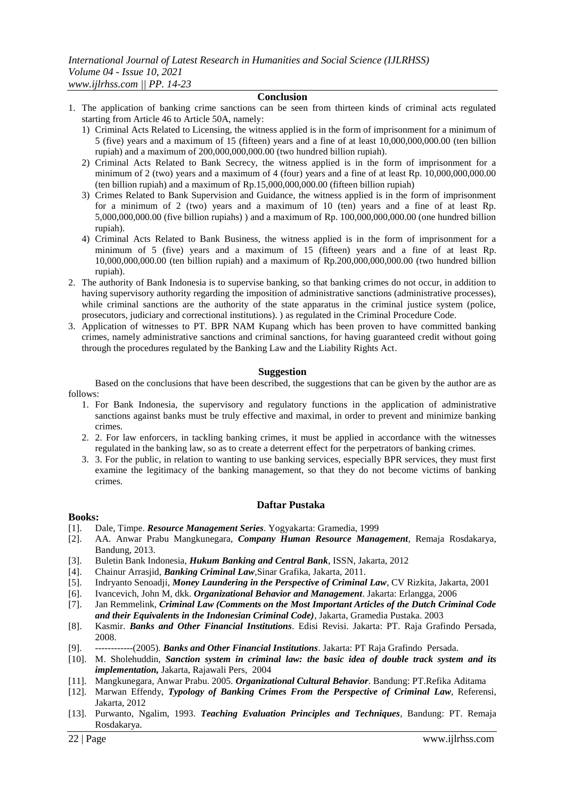#### **Conclusion**

- 1. The application of banking crime sanctions can be seen from thirteen kinds of criminal acts regulated starting from Article 46 to Article 50A, namely:
	- 1) Criminal Acts Related to Licensing, the witness applied is in the form of imprisonment for a minimum of 5 (five) years and a maximum of 15 (fifteen) years and a fine of at least 10,000,000,000.00 (ten billion rupiah) and a maximum of 200,000,000,000.00 (two hundred billion rupiah).
	- 2) Criminal Acts Related to Bank Secrecy, the witness applied is in the form of imprisonment for a minimum of 2 (two) years and a maximum of 4 (four) years and a fine of at least Rp. 10,000,000,000.00 (ten billion rupiah) and a maximum of Rp.15,000,000,000.00 (fifteen billion rupiah)
	- 3) Crimes Related to Bank Supervision and Guidance, the witness applied is in the form of imprisonment for a minimum of 2 (two) years and a maximum of 10 (ten) years and a fine of at least Rp. 5,000,000,000.00 (five billion rupiahs) ) and a maximum of Rp. 100,000,000,000.00 (one hundred billion rupiah).
	- 4) Criminal Acts Related to Bank Business, the witness applied is in the form of imprisonment for a minimum of 5 (five) years and a maximum of 15 (fifteen) years and a fine of at least Rp. 10,000,000,000.00 (ten billion rupiah) and a maximum of Rp.200,000,000,000.00 (two hundred billion rupiah).
- 2. The authority of Bank Indonesia is to supervise banking, so that banking crimes do not occur, in addition to having supervisory authority regarding the imposition of administrative sanctions (administrative processes), while criminal sanctions are the authority of the state apparatus in the criminal justice system (police, prosecutors, judiciary and correctional institutions). ) as regulated in the Criminal Procedure Code.
- 3. Application of witnesses to PT. BPR NAM Kupang which has been proven to have committed banking crimes, namely administrative sanctions and criminal sanctions, for having guaranteed credit without going through the procedures regulated by the Banking Law and the Liability Rights Act.

### **Suggestion**

Based on the conclusions that have been described, the suggestions that can be given by the author are as follows:

- 1. For Bank Indonesia, the supervisory and regulatory functions in the application of administrative sanctions against banks must be truly effective and maximal, in order to prevent and minimize banking crimes.
- 2. 2. For law enforcers, in tackling banking crimes, it must be applied in accordance with the witnesses regulated in the banking law, so as to create a deterrent effect for the perpetrators of banking crimes.
- 3. 3. For the public, in relation to wanting to use banking services, especially BPR services, they must first examine the legitimacy of the banking management, so that they do not become victims of banking crimes.

### **Daftar Pustaka**

### **Books:**

- [1]. Dale, Timpe. *Resource Management Series*. Yogyakarta: Gramedia, 1999
- [2]. AA. Anwar Prabu Mangkunegara, *Company Human Resource Management*, Remaja Rosdakarya, Bandung, 2013.
- [3]. Buletin Bank Indonesia, *Hukum Banking and Central Bank*, ISSN, Jakarta, 2012
- [4]. Chainur Arrasjid, *Banking Criminal Law*,Sinar Grafika, Jakarta, 2011.
- [5]. Indryanto Senoadji, *Money Laundering in the Perspective of Criminal Law*, CV Rizkita, Jakarta, 2001
- [6]. Ivancevich, John M, dkk. *Organizational Behavior and Management*. Jakarta: Erlangga, 2006
- [7]. Jan Remmelink, *Criminal Law (Comments on the Most Important Articles of the Dutch Criminal Code and their Equivalents in the Indonesian Criminal Code)*, Jakarta, Gramedia Pustaka. 2003
- [8]. Kasmir. *Banks and Other Financial Institutions*. Edisi Revisi. Jakarta: PT. Raja Grafindo Persada, 2008.
- [9]. ------------(2005). *Banks and Other Financial Institutions*. Jakarta: PT Raja Grafindo Persada.
- [10]. M. Sholehuddin, *Sanction system in criminal law: the basic idea of double track system and its implementation,* Jakarta, Rajawali Pers*,* 2004
- [11]. Mangkunegara, Anwar Prabu. 2005. *Organizational Cultural Behavior*. Bandung: PT.Refika Aditama
- [12]. Marwan Effendy, *Typology of Banking Crimes From the Perspective of Criminal Law*, Referensi, Jakarta, 2012
- [13]. Purwanto, Ngalim, 1993. *Teaching Evaluation Principles and Techniques*, Bandung: PT. Remaja Rosdakarya.